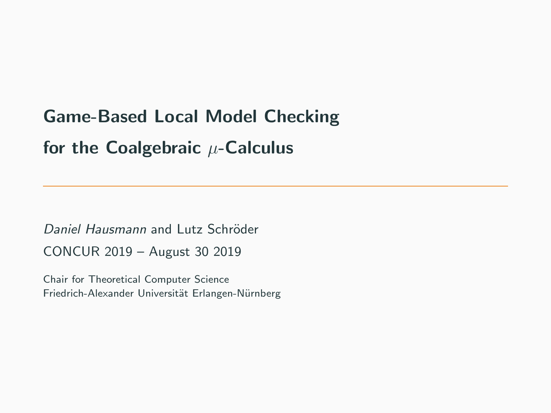# Game-Based Local Model Checking for the Coalgebraic  $\mu$ -Calculus

Daniel Hausmann and Lutz Schröder CONCUR 2019 – August 30 2019

Chair for Theoretical Computer Science Friedrich-Alexander Universität Erlangen-Nürnberg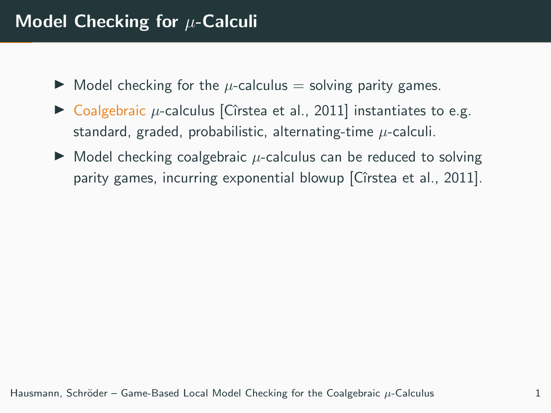### Model Checking for  $\mu$ -Calculi

- $\triangleright$  Model checking for the  $\mu$ -calculus = solving parity games.
- $\triangleright$  Coalgebraic  $\mu$ -calculus [Cîrstea et al., 2011] instantiates to e.g. standard, graded, probabilistic, alternating-time  $\mu$ -calculi.
- $\triangleright$  Model checking coalgebraic  $\mu$ -calculus can be reduced to solving parity games, incurring exponential blowup [Cîrstea et al., 2011].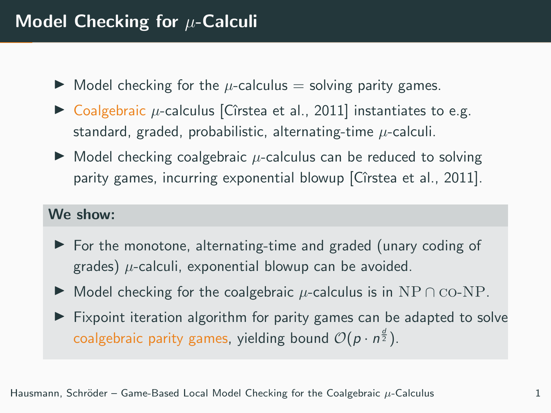- $\blacktriangleright$  Model checking for the  $\mu$ -calculus = solving parity games.
- $\triangleright$  Coalgebraic  $\mu$ -calculus [Cîrstea et al., 2011] instantiates to e.g. standard, graded, probabilistic, alternating-time  $\mu$ -calculi.
- $\triangleright$  Model checking coalgebraic  $\mu$ -calculus can be reduced to solving parity games, incurring exponential blowup [Cîrstea et al., 2011].

#### We show:

- $\triangleright$  For the monotone, alternating-time and graded (unary coding of grades)  $\mu$ -calculi, exponential blowup can be avoided.
- $\triangleright$  Model checking for the coalgebraic  $\mu$ -calculus is in NP ∩  $\text{co-NP}$ .
- $\triangleright$  Fixpoint iteration algorithm for parity games can be adapted to solve coalgebraic parity games, yielding bound  $\mathcal{O}(p \cdot n^{\frac{d}{2}})$ .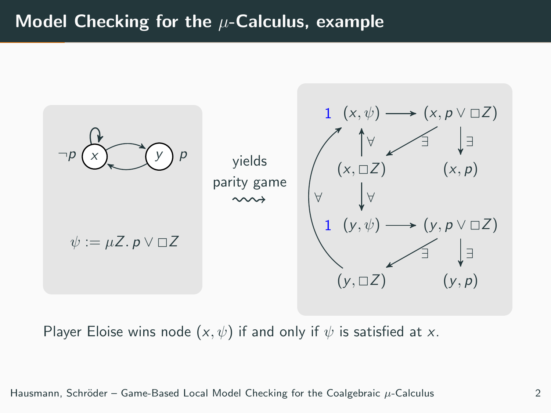### Model Checking for the  $\mu$ -Calculus, example



Player Eloise wins node  $(x, \psi)$  if and only if  $\psi$  is satisfied at x.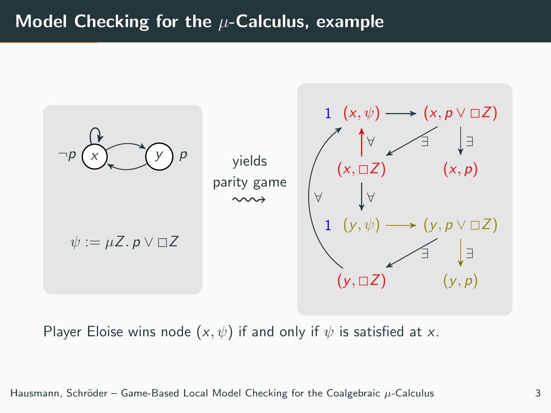### Model Checking for the  $\mu$ -Calculus, example



Player Eloise wins node  $(x, \psi)$  if and only if  $\psi$  is satisfied at x.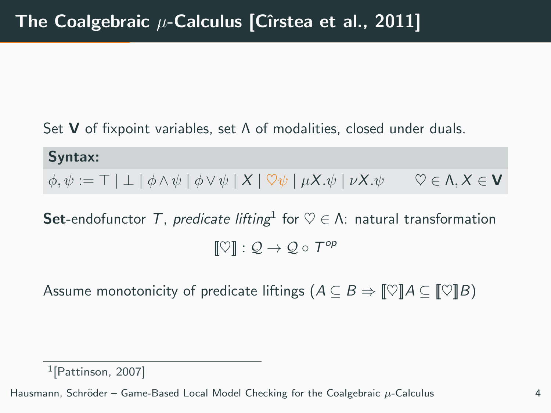Set V of fixpoint variables, set Λ of modalities, closed under duals.

Syntax:  $\phi, \psi := \top | \bot | \phi \wedge \psi | \phi \vee \psi | X | \nabla \psi | \mu X. \psi | \nu X. \psi \quad \nabla \in \Lambda, X \in \mathbf{V}$ 

**Set**-endofunctor T, predicate lifting<sup>1</sup> for  $\heartsuit \in \Lambda$ : natural transformation  $[\![ \heartsuit ]\!] : \mathcal{Q} \to \mathcal{Q} \circ \mathcal{T}^{op}$ 

Assume monotonicity of predicate liftings  $(A \subseteq B \Rightarrow \llbracket \heartsuit \rrbracket A \subseteq \llbracket \heartsuit \rrbracket B)$ 

1 [Pattinson, 2007]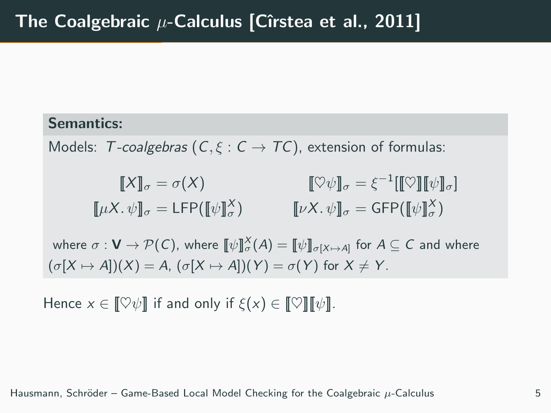#### Semantics:

Models: T-coalgebras ( $C, \xi : C \rightarrow TC$ ), extension of formulas:

$$
\llbracket X \rrbracket_{\sigma} = \sigma(X) \qquad \qquad \llbracket \heartsuit \psi \rrbracket_{\sigma} = \xi^{-1} [\llbracket \heartsuit \rrbracket [\psi \rrbracket_{\sigma}]
$$

$$
\llbracket \mu X. \psi \rrbracket_{\sigma} = \text{LFP} (\llbracket \psi \rrbracket_{\sigma}^X) \qquad \qquad \llbracket \nu X. \psi \rrbracket_{\sigma} = \text{GFP} (\llbracket \psi \rrbracket_{\sigma}^X)
$$

where  $\sigma: \mathsf{V} \to \mathcal{P}(\mathsf{C}),$  where  $\llbracket \psi \rrbracket_{\sigma}^{\chi}(A) = \llbracket \psi \rrbracket_{\sigma[X \mapsto A]}$  for  $A \subseteq \mathsf{C}$  and where  $(\sigma[X \mapsto A])(X) = A$ ,  $(\sigma[X \mapsto A])(Y) = \sigma(Y)$  for  $X \neq Y$ .

Hence  $x \in \llbracket \heartsuit \psi \rrbracket$  if and only if  $\xi(x) \in \llbracket \heartsuit \rrbracket \llbracket \psi \rrbracket$ .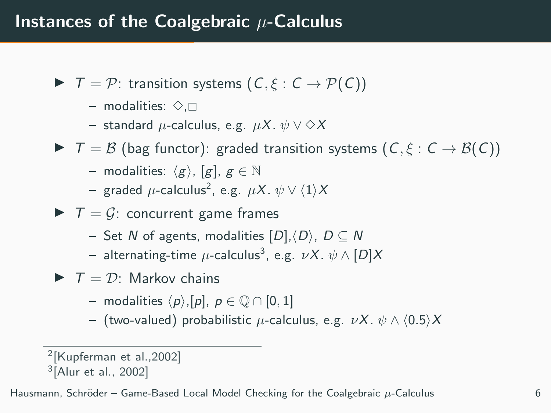- $\blacktriangleright$   $\top = \mathcal{P}$ : transition systems  $(C, \xi : C \rightarrow \mathcal{P}(C))$ 
	- modalities:  $\diamond$ . $\Box$
	- standard  $\mu$ -calculus, e.g.  $\mu X. \psi \vee \Diamond X$
- $\blacktriangleright$   $\top = \mathcal{B}$  (bag functor): graded transition systems  $(C, \xi : C \rightarrow \mathcal{B}(C))$ 
	- modalities:  $\langle g \rangle$ , [g],  $g \in \mathbb{N}$
	- $-$  graded  $\mu$ -calculus $^2$ , e.g.  $\mu X.\; \psi \vee \langle 1 \rangle X$
- $\blacktriangleright$   $\top = \mathcal{G}$ : concurrent game frames
	- Set N of agents, modalities  $[D], \langle D \rangle$ ,  $D \subseteq N$
	- $-$  alternating-time  $\mu$ -calculus $^3$ , e.g.  $\nu X.\; \psi\wedge [D]X$
- $\blacktriangleright$   $\top = \mathcal{D}$ : Markov chains
	- modalities  $\langle p \rangle$ ,[p],  $p \in \mathbb{O} \cap [0, 1]$
	- (two-valued) probabilistic  $\mu$ -calculus, e.g.  $\nu X. \psi \wedge (0.5)X$

<sup>2</sup> [Kupferman et al.,2002]

<sup>3</sup> [Alur et al., 2002]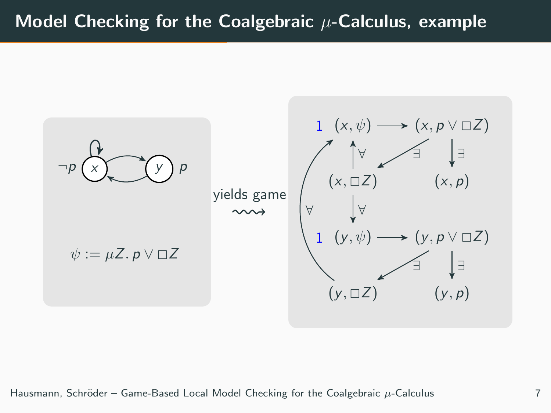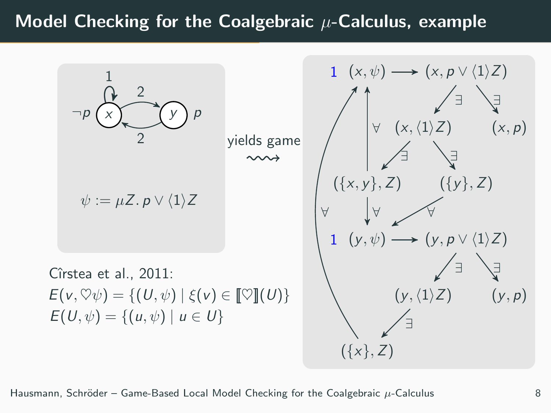### Model Checking for the Coalgebraic  $\mu$ -Calculus, example



Hausmann, Schröder – Game-Based Local Model Checking for the Coalgebraic  $\mu$ -Calculus 8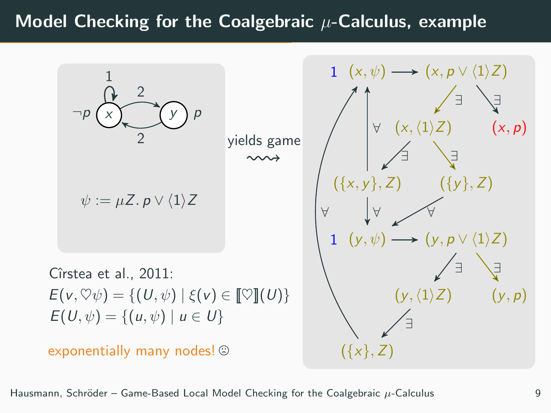### Model Checking for the Coalgebraic  $\mu$ -Calculus, example



Hausmann, Schröder – Game-Based Local Model Checking for the Coalgebraic  $\mu$ -Calculus 9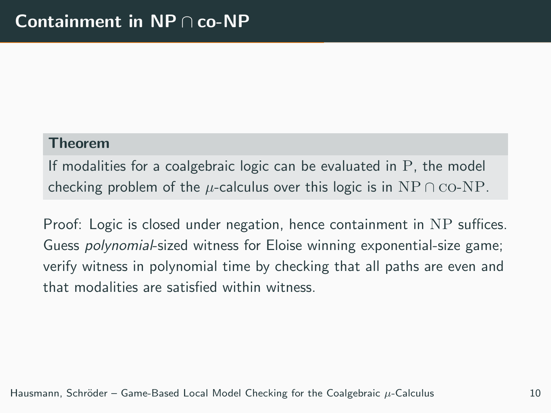#### Theorem

If modalities for a coalgebraic logic can be evaluated in P, the model checking problem of the  $\mu$ -calculus over this logic is in NP  $\cap$  CO-NP.

Proof: Logic is closed under negation, hence containment in NP suffices. Guess polynomial-sized witness for Eloise winning exponential-size game; verify witness in polynomial time by checking that all paths are even and that modalities are satisfied within witness.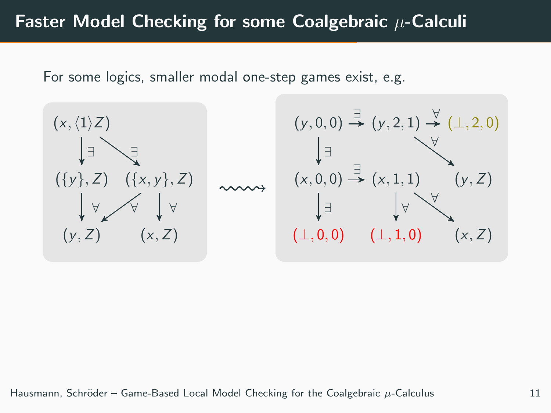### Faster Model Checking for some Coalgebraic  $\mu$ -Calculi

For some logics, smaller modal one-step games exist, e.g.



$$
(y,0,0) \stackrel{\exists}{\rightarrow} (y,2,1) \stackrel{\forall}{\rightarrow} (\perp,2,0)
$$
\n
$$
\downarrow \exists
$$
\n
$$
(x,0,0) \stackrel{\exists}{\rightarrow} (x,1,1) \qquad (y,Z)
$$
\n
$$
\downarrow \exists
$$
\n
$$
(\perp,0,0) \qquad (\perp,1,0) \qquad (x,Z)
$$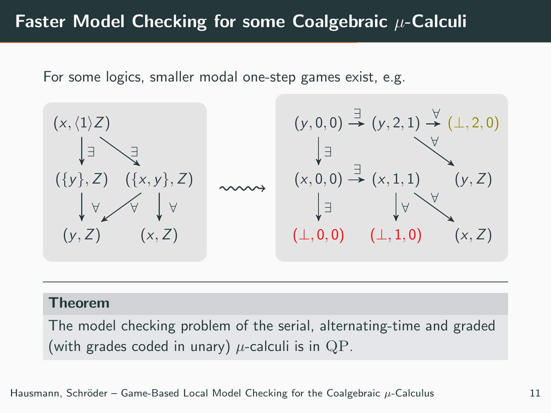### Faster Model Checking for some Coalgebraic  $\mu$ -Calculi

For some logics, smaller modal one-step games exist, e.g.



#### Theorem

The model checking problem of the serial, alternating-time and graded (with grades coded in unary)  $\mu$ -calculi is in QP.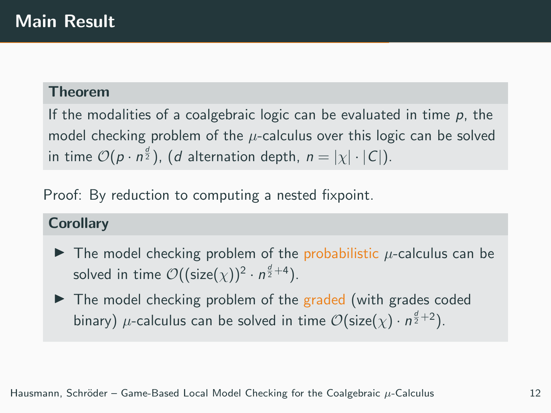#### Theorem

If the modalities of a coalgebraic logic can be evaluated in time  $p$ , the model checking problem of the  $\mu$ -calculus over this logic can be solved in time  $\mathcal{O}(p \cdot n^{\frac{d}{2}})$ ,  $(d$  alternation depth,  $n = |\chi| \cdot |\mathcal{C}|)$ .

Proof: By reduction to computing a nested fixpoint.

#### **Corollary**

- $\blacktriangleright$  The model checking problem of the probabilistic  $\mu$ -calculus can be solved in time  $\mathcal{O}((\mathsf{size}(\chi))^2 \cdot n^{\frac{d}{2}+4}).$
- $\blacktriangleright$  The model checking problem of the graded (with grades coded binary)  $\mu$ -calculus can be solved in time  $\mathcal{O}(\mathsf{size}(\chi) \cdot n^{\frac{d}{2}+2}).$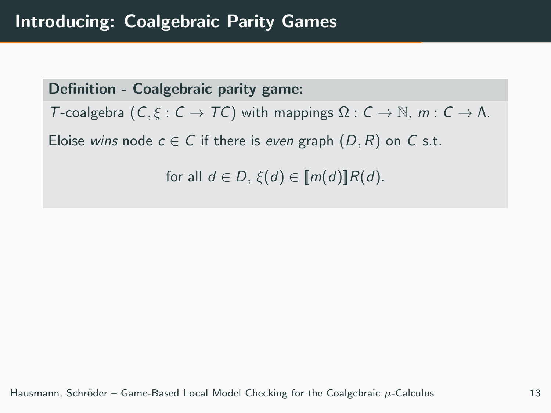Definition - Coalgebraic parity game: T-coalgebra  $(C, \xi : C \to TC)$  with mappings  $\Omega : C \to \mathbb{N}$ ,  $m : C \to \Lambda$ . Eloise wins node  $c \in C$  if there is even graph  $(D, R)$  on C s.t. for all  $d \in D$ ,  $\xi(d) \in [m(d)]R(d)$ .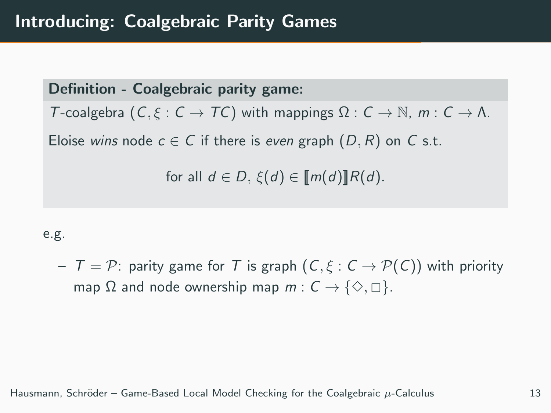Definition - Coalgebraic parity game: T-coalgebra  $(C, \xi : C \to TC)$  with mappings  $\Omega : C \to \mathbb{N}$ ,  $m : C \to \Lambda$ . Eloise wins node  $c \in C$  if there is even graph  $(D, R)$  on C s.t. for all  $d \in D$ ,  $\xi(d) \in [m(d)]R(d)$ .

#### e.g.

 $T = \mathcal{P}$ : parity game for T is graph  $(C, \xi : C \rightarrow \mathcal{P}(C))$  with priority map  $\Omega$  and node ownership map  $m : C \to \{ \diamondsuit, \Box \}.$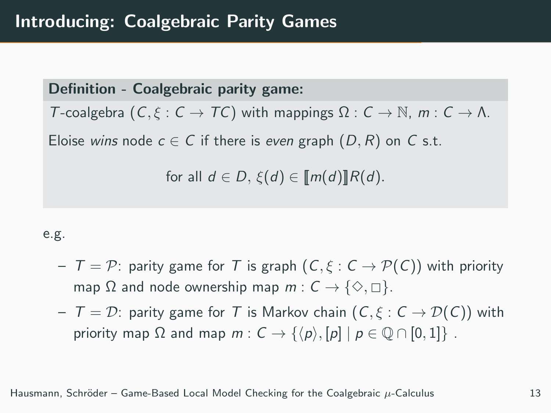Definition - Coalgebraic parity game:

T-coalgebra  $(C, \xi : C \to TC)$  with mappings  $\Omega : C \to \mathbb{N}$ ,  $m : C \to \Lambda$ .

Eloise wins node  $c \in C$  if there is even graph  $(D, R)$  on C s.t.

for all  $d \in D$ ,  $\xi(d) \in [m(d)]R(d)$ .

#### e.g.

- $T = \mathcal{P}$ : parity game for T is graph  $(C, \xi : C \rightarrow \mathcal{P}(C))$  with priority map  $\Omega$  and node ownership map  $m : C \to \{\diamondsuit, \square\}.$
- $T = D$ : parity game for T is Markov chain  $(C, \xi : C \rightarrow \mathcal{D}(C))$  with priority map  $\Omega$  and map  $m: C \rightarrow \{\langle p \rangle, [p] \mid p \in \mathbb{Q} \cap [0,1]\}$ .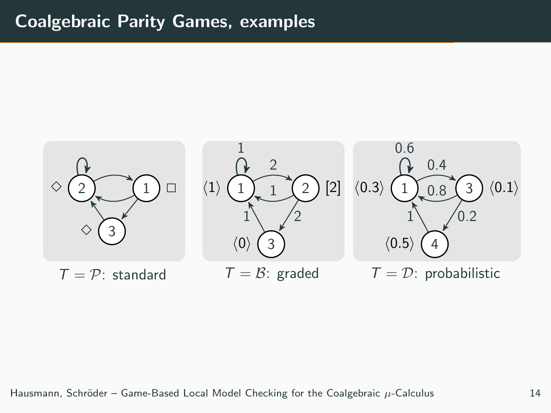### Coalgebraic Parity Games, examples

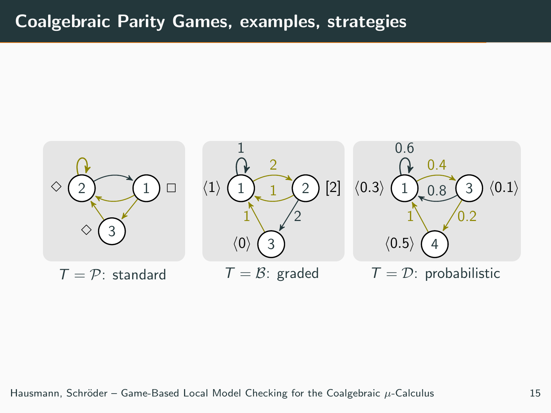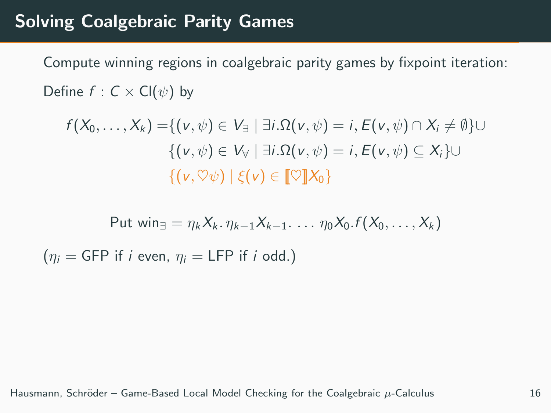### Solving Coalgebraic Parity Games

Compute winning regions in coalgebraic parity games by fixpoint iteration: Define  $f : C \times Cl(\psi)$  by

$$
f(X_0, \ldots, X_k) = \{ (v, \psi) \in V_{\exists} \mid \exists i . \Omega(v, \psi) = i, E(v, \psi) \cap X_i \neq \emptyset \} \cup
$$
  

$$
\{ (v, \psi) \in V_{\forall} \mid \exists i . \Omega(v, \psi) = i, E(v, \psi) \subseteq X_i \} \cup
$$
  

$$
\{ (v, \heartsuit \psi) \mid \xi(v) \in [\![\heartsuit]\!] X_0 \}
$$

Put 
$$
\text{win}_{\exists} = \eta_k X_k \ldotp \eta_{k-1} X_{k-1} \ldots \eta_0 X_0 \ldotp f(X_0, \ldots, X_k)
$$
  
 $(\eta_i = \text{GFP if } i \text{ even}, \eta_i = \text{LFP if } i \text{ odd.})$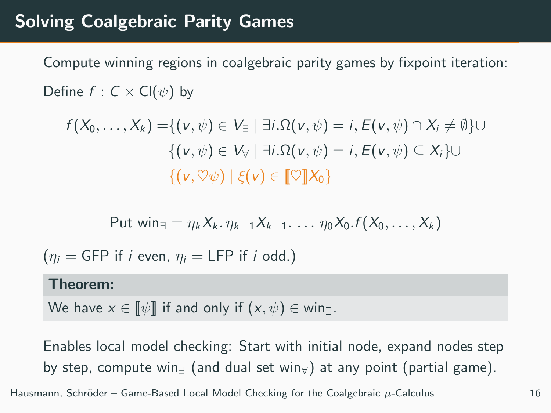### Solving Coalgebraic Parity Games

Compute winning regions in coalgebraic parity games by fixpoint iteration: Define  $f: C \times Cl(\psi)$  by

$$
f(X_0, \ldots, X_k) = \{ (v, \psi) \in V_{\exists} \mid \exists i . \Omega(v, \psi) = i, E(v, \psi) \cap X_i \neq \emptyset \} \cup
$$
  

$$
\{ (v, \psi) \in V_{\forall} \mid \exists i . \Omega(v, \psi) = i, E(v, \psi) \subseteq X_i \} \cup
$$
  

$$
\{ (v, \heartsuit \psi) \mid \xi(v) \in [\![\heartsuit]\!] X_0 \}
$$

Put 
$$
\text{win}_{\exists} = \eta_k X_k \cdot \eta_{k-1} X_{k-1} \cdot \ldots \eta_0 X_0 \cdot f(X_0, \ldots, X_k)
$$

 $(n_i = GFP$  if i even,  $n_i = LFP$  if i odd.)

#### Theorem:

We have  $x \in \llbracket \psi \rrbracket$  if and only if  $(x, \psi) \in \text{win}_{\exists}$ .

Enables local model checking: Start with initial node, expand nodes step by step, compute win $\frac{1}{2}$  (and dual set win $\frac{1}{2}$ ) at any point (partial game).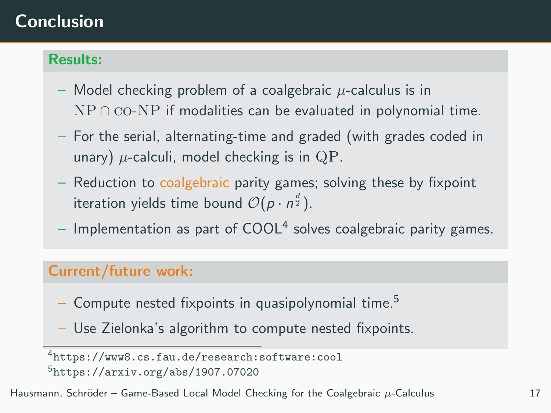## Conclusion

#### Results:

- Model checking problem of a coalgebraic  $\mu$ -calculus is in  $NP \cap co-NP$  if modalities can be evaluated in polynomial time.
- For the serial, alternating-time and graded (with grades coded in unary)  $\mu$ -calculi, model checking is in QP.
- Reduction to coalgebraic parity games; solving these by fixpoint iteration yields time bound  $\mathcal{O}(p \cdot n^{\frac{d}{2}}).$
- $-$  Implementation as part of COOL<sup>4</sup> solves coalgebraic parity games.

### Current/future work:

- Compute nested fixpoints in quasipolynomial time.<sup>5</sup>
- Use Zielonka's algorithm to compute nested fixpoints.

<sup>4</sup><https://www8.cs.fau.de/research:software:cool> <sup>5</sup><https://arxiv.org/abs/1907.07020>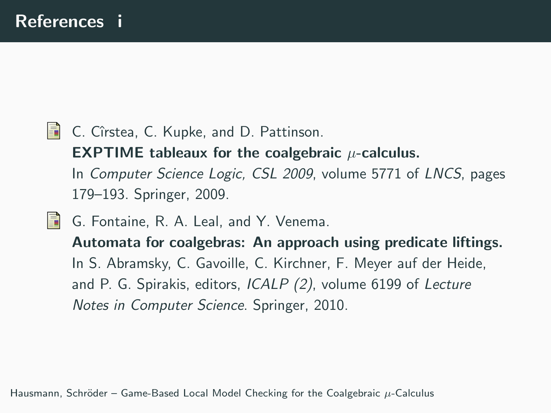**C.** Cîrstea, C. Kupke, and D. Pattinson.

**EXPTIME** tableaux for the coalgebraic  $\mu$ -calculus. In Computer Science Logic, CSL 2009, volume 5771 of LNCS, pages 179–193. Springer, 2009.

F. G. Fontaine, R. A. Leal, and Y. Venema.

Automata for coalgebras: An approach using predicate liftings. In S. Abramsky, C. Gavoille, C. Kirchner, F. Meyer auf der Heide, and P. G. Spirakis, editors, ICALP (2), volume 6199 of Lecture Notes in Computer Science. Springer, 2010.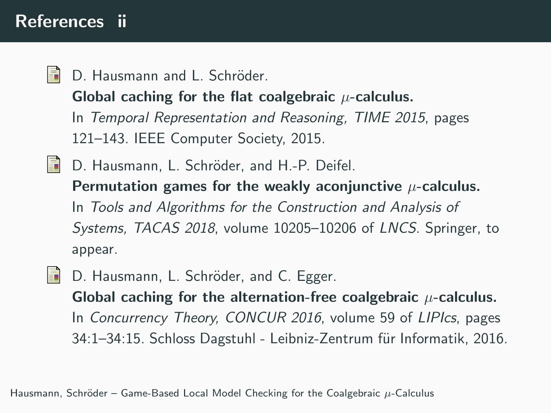### References ii

H D. Hausmann and L. Schröder.

Global caching for the flat coalgebraic  $\mu$ -calculus.

In Temporal Representation and Reasoning, TIME 2015, pages 121–143. IEEE Computer Society, 2015.

- **D.** Hausmann, L. Schröder, and H.-P. Deifel. Permutation games for the weakly aconjunctive  $\mu$ -calculus. In Tools and Algorithms for the Construction and Analysis of Systems, TACAS 2018, volume 10205–10206 of LNCS. Springer, to appear.
- D. Hausmann, L. Schröder, and C. Egger. H Global caching for the alternation-free coalgebraic  $\mu$ -calculus. In Concurrency Theory, CONCUR 2016, volume 59 of LIPIcs, pages 34:1–34:15. Schloss Dagstuhl - Leibniz-Zentrum für Informatik, 2016.